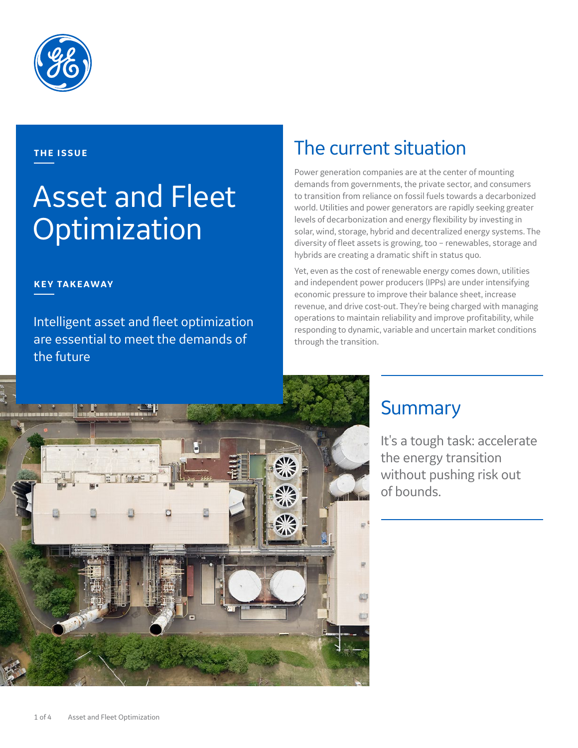

### **THE ISSUE**

# Asset and Fleet Optimization

### **KEY TAKEAWAY**

Intelligent asset and fleet optimization are essential to meet the demands of the future

## The current situation

Power generation companies are at the center of mounting demands from governments, the private sector, and consumers to transition from reliance on fossil fuels towards a decarbonized world. Utilities and power generators are rapidly seeking greater levels of decarbonization and energy flexibility by investing in solar, wind, storage, hybrid and decentralized energy systems. The diversity of fleet assets is growing, too – renewables, storage and hybrids are creating a dramatic shift in status quo.

Yet, even as the cost of renewable energy comes down, utilities and independent power producers (IPPs) are under intensifying economic pressure to improve their balance sheet, increase revenue, and drive cost-out. They're being charged with managing operations to maintain reliability and improve profitability, while responding to dynamic, variable and uncertain market conditions through the transition.



## **Summary**

It's a tough task: accelerate the energy transition without pushing risk out of bounds.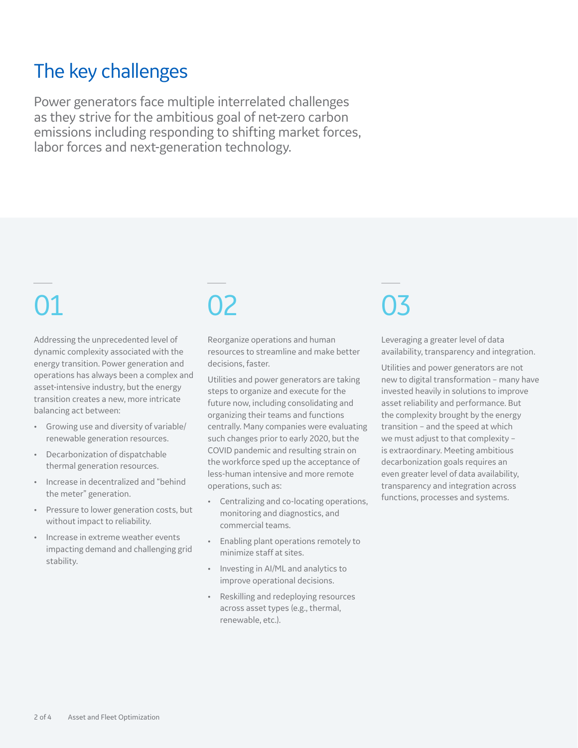## The key challenges

Power generators face multiple interrelated challenges as they strive for the ambitious goal of net-zero carbon emissions including responding to shifting market forces, labor forces and next-generation technology.

Addressing the unprecedented level of dynamic complexity associated with the energy transition. Power generation and operations has always been a complex and asset-intensive industry, but the energy transition creates a new, more intricate balancing act between:

- Growing use and diversity of variable/ renewable generation resources.
- Decarbonization of dispatchable thermal generation resources.
- Increase in decentralized and "behind the meter" generation.
- Pressure to lower generation costs, but without impact to reliability.
- Increase in extreme weather events impacting demand and challenging grid stability.

Reorganize operations and human resources to streamline and make better decisions, faster.

Utilities and power generators are taking steps to organize and execute for the future now, including consolidating and organizing their teams and functions centrally. Many companies were evaluating such changes prior to early 2020, but the COVID pandemic and resulting strain on the workforce sped up the acceptance of less-human intensive and more remote operations, such as:

- Centralizing and co-locating operations, monitoring and diagnostics, and commercial teams.
- Enabling plant operations remotely to minimize staff at sites.
- Investing in AI/ML and analytics to improve operational decisions.
- Reskilling and redeploying resources across asset types (e.g., thermal, renewable, etc.).

# 01 02 03

Leveraging a greater level of data availability, transparency and integration.

Utilities and power generators are not new to digital transformation – many have invested heavily in solutions to improve asset reliability and performance. But the complexity brought by the energy transition – and the speed at which we must adjust to that complexity – is extraordinary. Meeting ambitious decarbonization goals requires an even greater level of data availability, transparency and integration across functions, processes and systems.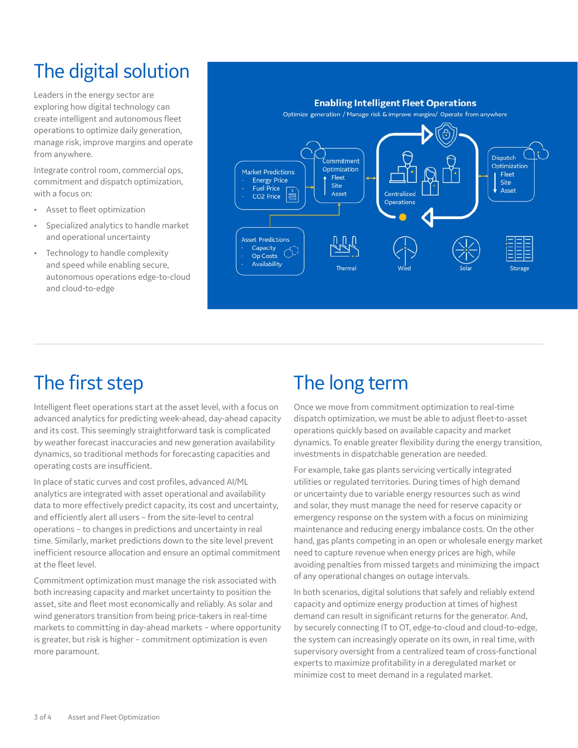# The digital solution

Leaders in the energy sector are exploring how digital technology can create intelligent and autonomous fleet operations to optimize daily generation, manage risk, improve margins and operate from anywhere.

Integrate control room, commercial ops, commitment and dispatch optimization, with a focus on:

- Asset to fleet optimization
- Specialized analytics to handle market and operational uncertainty
- Technology to handle complexity and speed while enabling secure, autonomous operations edge-to-cloud and cloud-to-edge



## The first step

Intelligent fleet operations start at the asset level, with a focus on advanced analytics for predicting week-ahead, day-ahead capacity and its cost. This seemingly straightforward task is complicated by weather forecast inaccuracies and new generation availability dynamics, so traditional methods for forecasting capacities and operating costs are insufficient.

In place of static curves and cost profiles, advanced AI/ML analytics are integrated with asset operational and availability data to more effectively predict capacity, its cost and uncertainty, and efficiently alert all users – from the site-level to central operations – to changes in predictions and uncertainty in real time. Similarly, market predictions down to the site level prevent inefficient resource allocation and ensure an optimal commitment at the fleet level.

Commitment optimization must manage the risk associated with both increasing capacity and market uncertainty to position the asset, site and fleet most economically and reliably. As solar and wind generators transition from being price-takers in real-time markets to committing in day-ahead markets – where opportunity is greater, but risk is higher – commitment optimization is even more paramount.

## The long term

Once we move from commitment optimization to real-time dispatch optimization, we must be able to adjust fleet-to-asset operations quickly based on available capacity and market dynamics. To enable greater flexibility during the energy transition, investments in dispatchable generation are needed.

For example, take gas plants servicing vertically integrated utilities or regulated territories. During times of high demand or uncertainty due to variable energy resources such as wind and solar, they must manage the need for reserve capacity or emergency response on the system with a focus on minimizing maintenance and reducing energy imbalance costs. On the other hand, gas plants competing in an open or wholesale energy market need to capture revenue when energy prices are high, while avoiding penalties from missed targets and minimizing the impact of any operational changes on outage intervals.

In both scenarios, digital solutions that safely and reliably extend capacity and optimize energy production at times of highest demand can result in significant returns for the generator. And, by securely connecting IT to OT, edge-to-cloud and cloud-to-edge, the system can increasingly operate on its own, in real time, with supervisory oversight from a centralized team of cross-functional experts to maximize profitability in a deregulated market or minimize cost to meet demand in a regulated market.